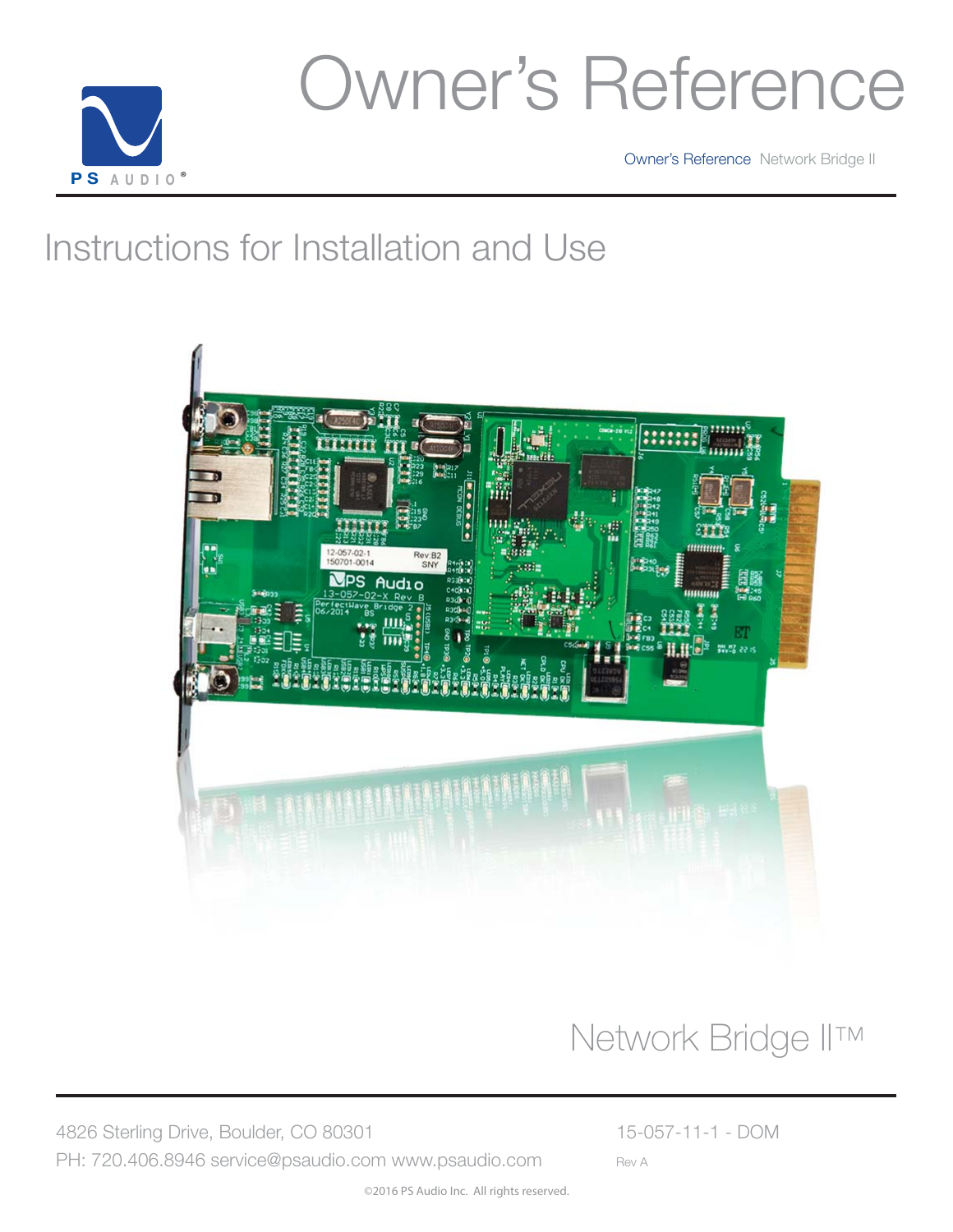

### Owner's Reference

Owner's Reference Network Bridge II

### Instructions for Installation and Use



### Network Bridge II™

4826 Sterling Drive, Boulder, CO 80301 15-057-11-1 - DOM PH: 720.406.8946 service@psaudio.com www.psaudio.com Rev A

©2016 PS Audio Inc. All rights reserved.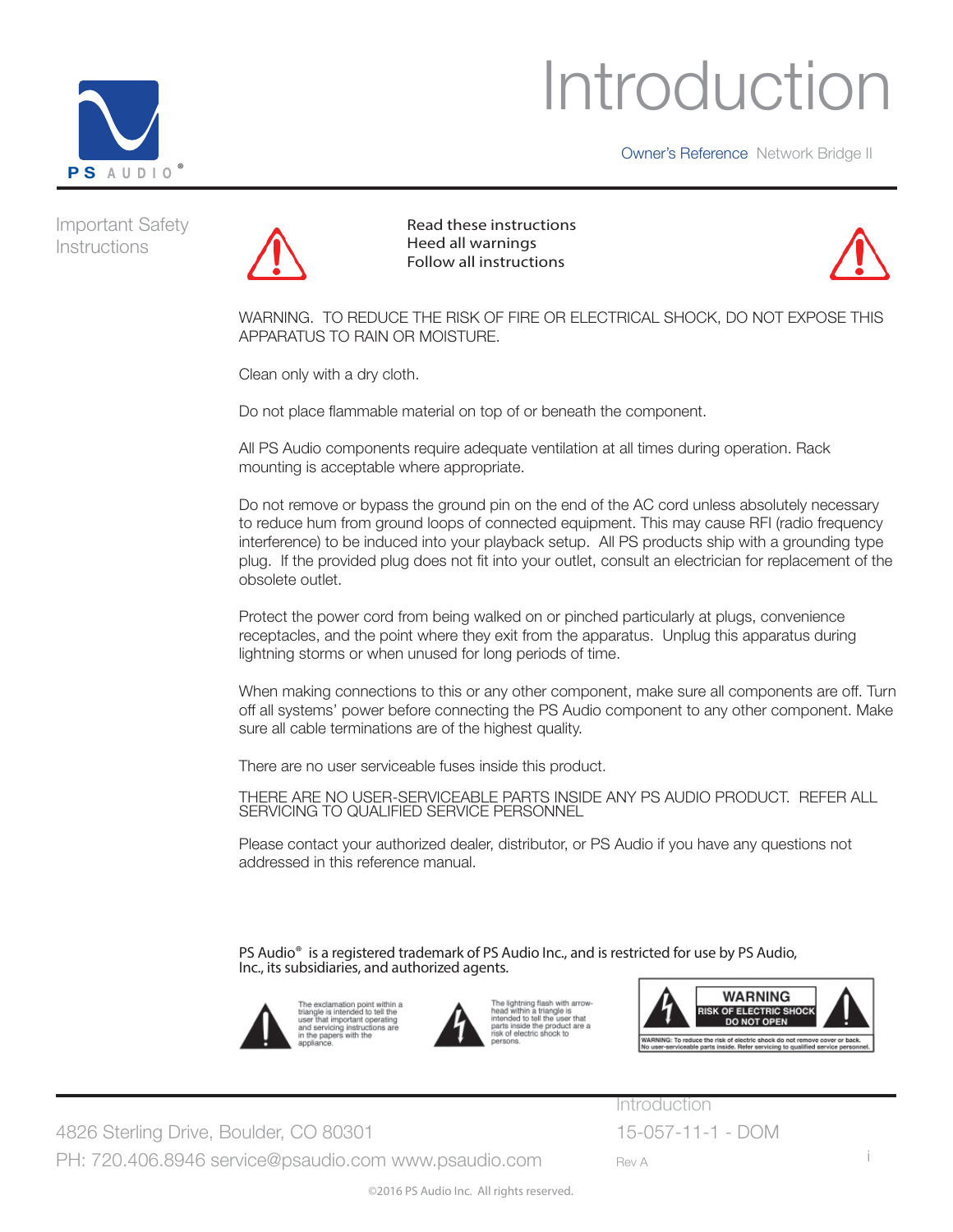



Important Safety Instructions



 Read these instructions Heed all warnings Follow all instructions



WARNING. TO REDUCE THE RISK OF FIRE OR ELECTRICAL SHOCK, DO NOT EXPOSE THIS APPARATUS TO RAIN OR MOISTURE.

Clean only with a dry cloth.

Do not place flammable material on top of or beneath the component.

All PS Audio components require adequate ventilation at all times during operation. Rack mounting is acceptable where appropriate.

Do not remove or bypass the ground pin on the end of the AC cord unless absolutely necessary to reduce hum from ground loops of connected equipment. This may cause RFI (radio frequency interference) to be induced into your playback setup. All PS products ship with a grounding type plug. If the provided plug does not fit into your outlet, consult an electrician for replacement of the obsolete outlet.

Protect the power cord from being walked on or pinched particularly at plugs, convenience receptacles, and the point where they exit from the apparatus. Unplug this apparatus during lightning storms or when unused for long periods of time.

When making connections to this or any other component, make sure all components are off. Turn off all systems' power before connecting the PS Audio component to any other component. Make sure all cable terminations are of the highest quality.

There are no user serviceable fuses inside this product.

THERE ARE NO USER-SERVICEABLE PARTS INSIDE ANY PS AUDIO PRODUCT. REFER ALL SERVICING TO QUALIFIED SERVICE PERSONNEL

Please contact your authorized dealer, distributor, or PS Audio if you have any questions not addressed in this reference manual.

PS Audio<sup>®</sup> is a registered trademark of PS Audio Inc., and is restricted for use by PS Audio, Inc., its subsidiaries, and authorized agents.



The exclamation point within a triangle is intended to tell the<br>user that important operating<br>and servicing instructions are<br>in the papers with the





4826 Sterling Drive, Boulder, CO 80301 15-057-11-1 - DOM PH: 720.406.8946 service@psaudio.com www.psaudio.com Rev A

**Introduction**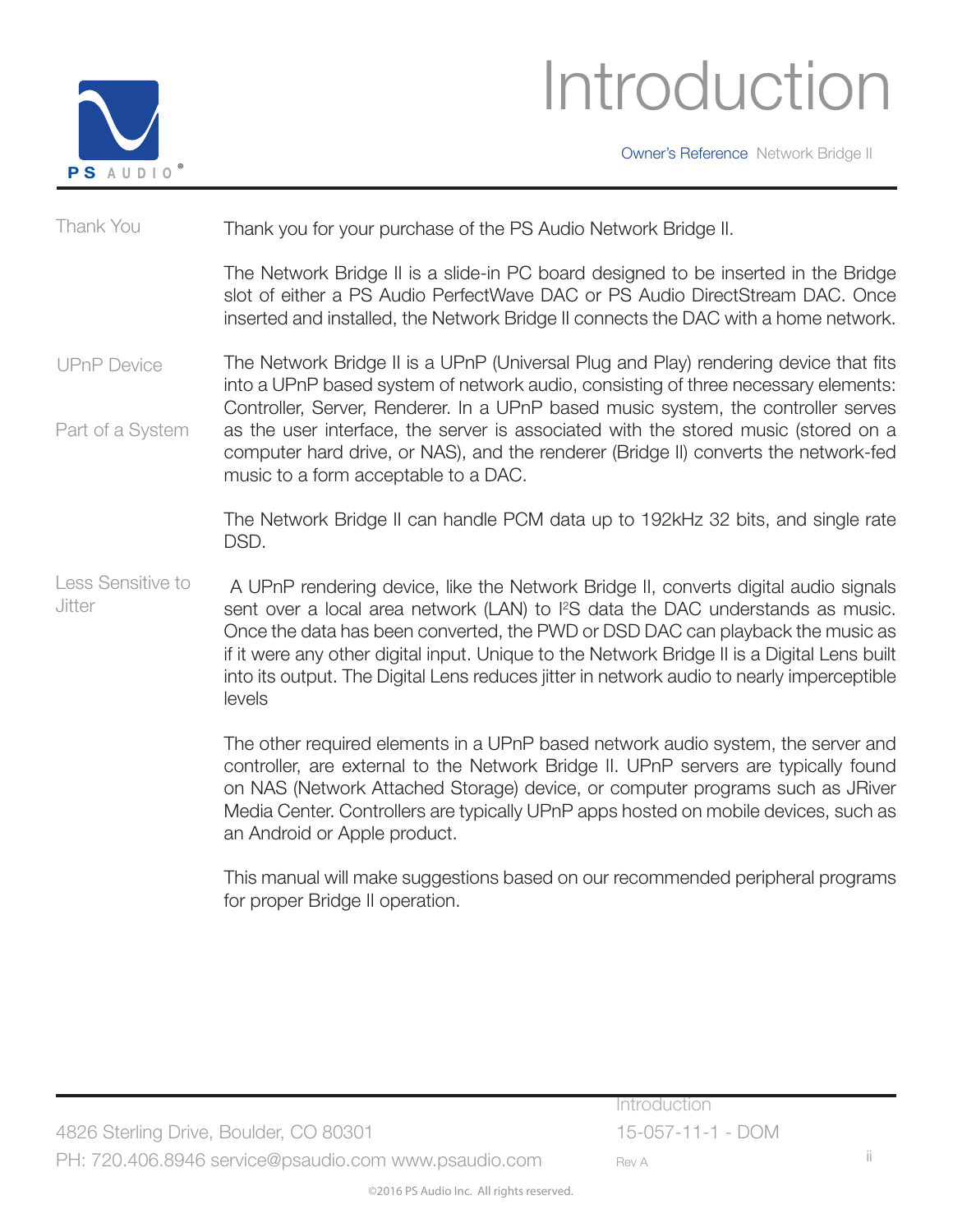

### Introduction

Owner's Reference Network Bridge II

Thank you for your purchase of the PS Audio Network Bridge II. Thank You

> The Network Bridge II is a slide-in PC board designed to be inserted in the Bridge slot of either a PS Audio PerfectWave DAC or PS Audio DirectStream DAC. Once inserted and installed, the Network Bridge II connects the DAC with a home network.

The Network Bridge II is a UPnP (Universal Plug and Play) rendering device that fits into a UPnP based system of network audio, consisting of three necessary elements: Controller, Server, Renderer. In a UPnP based music system, the controller serves as the user interface, the server is associated with the stored music (stored on a computer hard drive, or NAS), and the renderer (Bridge II) converts the network-fed music to a form acceptable to a DAC. UPnP Device Part of a System

> The Network Bridge II can handle PCM data up to 192kHz 32 bits, and single rate DSD.

 A UPnP rendering device, like the Network Bridge II, converts digital audio signals sent over a local area network (LAN) to l<sup>2</sup>S data the DAC understands as music. Once the data has been converted, the PWD or DSD DAC can playback the music as if it were any other digital input. Unique to the Network Bridge II is a Digital Lens built into its output. The Digital Lens reduces jitter in network audio to nearly imperceptible levels Less Sensitive to Jitter

> The other required elements in a UPnP based network audio system, the server and controller, are external to the Network Bridge II. UPnP servers are typically found on NAS (Network Attached Storage) device, or computer programs such as JRiver Media Center. Controllers are typically UPnP apps hosted on mobile devices, such as an Android or Apple product.

> This manual will make suggestions based on our recommended peripheral programs for proper Bridge II operation.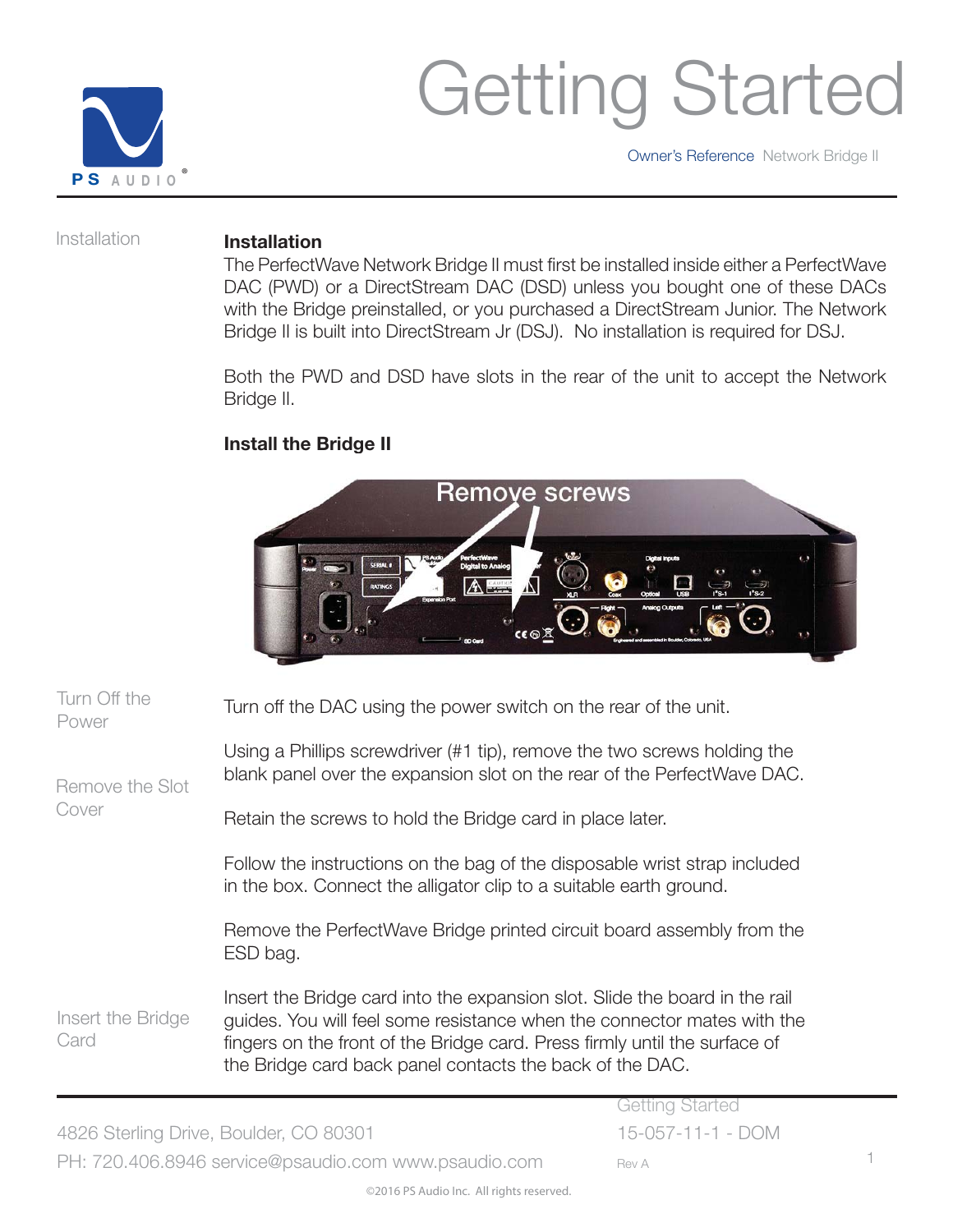

Owner's Reference Network Bridge II

Installation

#### **Installation**

The PerfectWave Network Bridge II must first be installed inside either a PerfectWave DAC (PWD) or a DirectStream DAC (DSD) unless you bought one of these DACs with the Bridge preinstalled, or you purchased a DirectStream Junior. The Network Bridge II is built into DirectStream Jr (DSJ). No installation is required for DSJ.

Both the PWD and DSD have slots in the rear of the unit to accept the Network Bridge II.

### **Install the Bridge II**



| Turn Off the<br>Power     | Turn off the DAC using the power switch on the rear of the unit.                                                                                                                                                                                                                                 |
|---------------------------|--------------------------------------------------------------------------------------------------------------------------------------------------------------------------------------------------------------------------------------------------------------------------------------------------|
| Remove the Slot           | Using a Phillips screwdriver (#1 tip), remove the two screws holding the<br>blank panel over the expansion slot on the rear of the PerfectWave DAC.                                                                                                                                              |
| Cover                     | Retain the screws to hold the Bridge card in place later.                                                                                                                                                                                                                                        |
|                           | Follow the instructions on the bag of the disposable wrist strap included<br>in the box. Connect the alligator clip to a suitable earth ground.                                                                                                                                                  |
|                           | Remove the PerfectWave Bridge printed circuit board assembly from the<br>ESD bag.                                                                                                                                                                                                                |
| Insert the Bridge<br>Card | Insert the Bridge card into the expansion slot. Slide the board in the rail<br>guides. You will feel some resistance when the connector mates with the<br>fingers on the front of the Bridge card. Press firmly until the surface of<br>the Bridge card back panel contacts the back of the DAC. |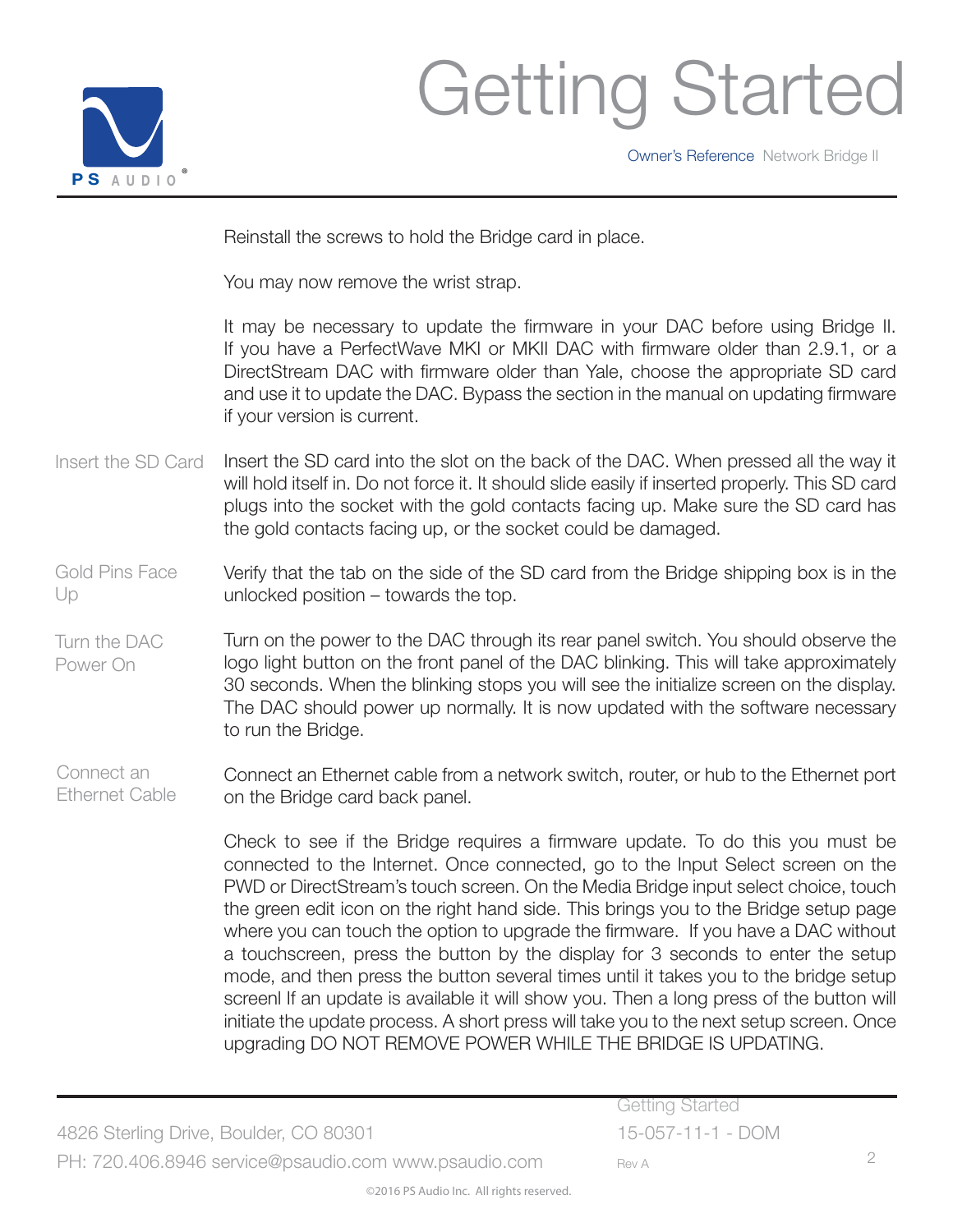

Owner's Reference Network Bridge II

Reinstall the screws to hold the Bridge card in place.

You may now remove the wrist strap.

It may be necessary to update the firmware in your DAC before using Bridge II. If you have a PerfectWave MKI or MKII DAC with firmware older than 2.9.1, or a DirectStream DAC with firmware older than Yale, choose the appropriate SD card and use it to update the DAC. Bypass the section in the manual on updating firmware if your version is current.

Insert the SD card into the slot on the back of the DAC. When pressed all the way it will hold itself in. Do not force it. It should slide easily if inserted properly. This SD card plugs into the socket with the gold contacts facing up. Make sure the SD card has the gold contacts facing up, or the socket could be damaged. Insert the SD Card

Verify that the tab on the side of the SD card from the Bridge shipping box is in the unlocked position – towards the top. Gold Pins Face Up

Turn on the power to the DAC through its rear panel switch. You should observe the logo light button on the front panel of the DAC blinking. This will take approximately 30 seconds. When the blinking stops you will see the initialize screen on the display. The DAC should power up normally. It is now updated with the software necessary to run the Bridge. Turn the DAC Power On

Connect an Ethernet cable from a network switch, router, or hub to the Ethernet port on the Bridge card back panel. Connect an Ethernet Cable

> Check to see if the Bridge requires a firmware update. To do this you must be connected to the Internet. Once connected, go to the Input Select screen on the PWD or DirectStream's touch screen. On the Media Bridge input select choice, touch the green edit icon on the right hand side. This brings you to the Bridge setup page where you can touch the option to upgrade the firmware. If you have a DAC without a touchscreen, press the button by the display for 3 seconds to enter the setup mode, and then press the button several times until it takes you to the bridge setup screenl If an update is available it will show you. Then a long press of the button will initiate the update process. A short press will take you to the next setup screen. Once upgrading DO NOT REMOVE POWER WHILE THE BRIDGE IS UPDATING.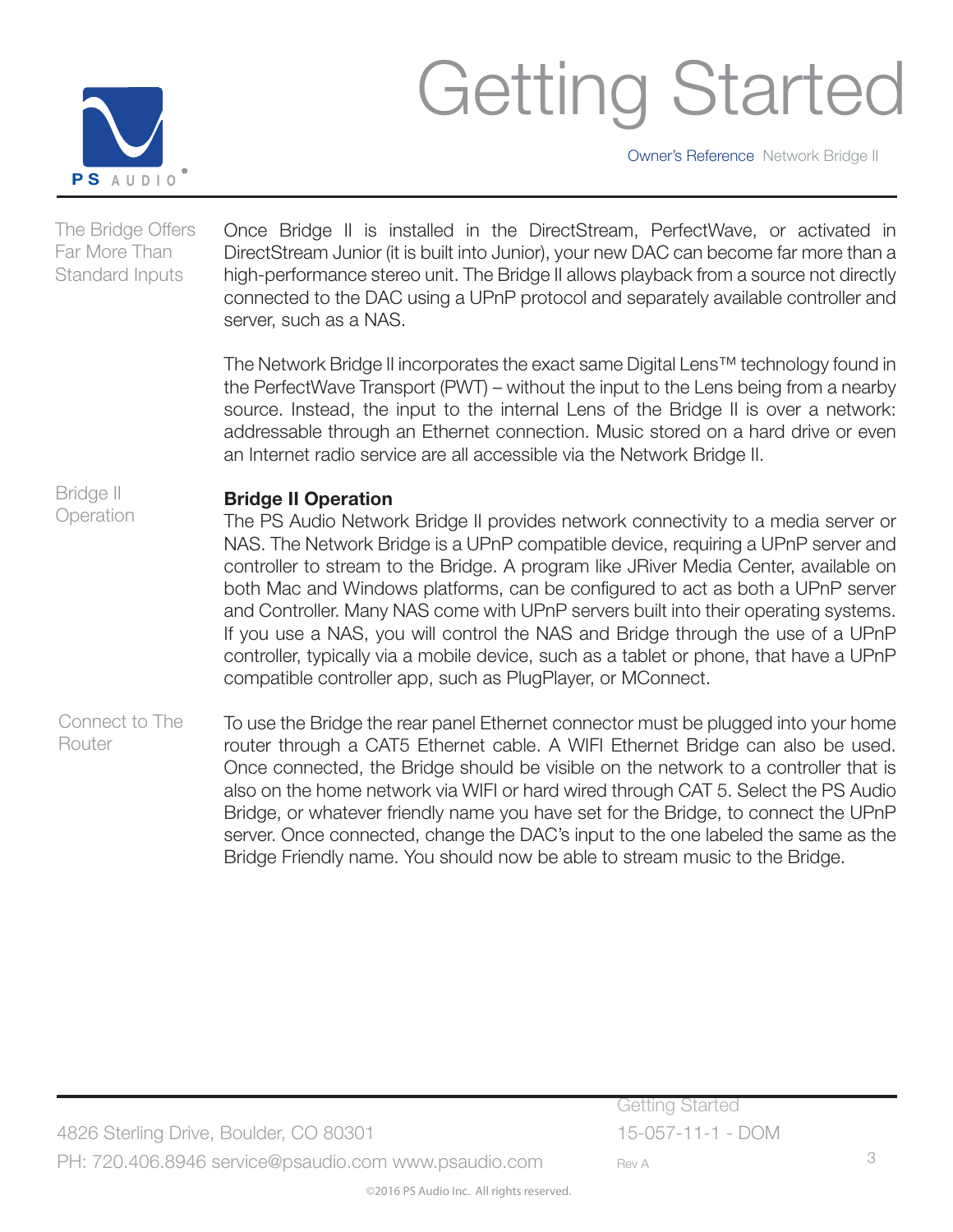

Owner's Reference Network Bridge II

Once Bridge II is installed in the DirectStream, PerfectWave, or activated in DirectStream Junior (it is built into Junior), your new DAC can become far more than a high-performance stereo unit. The Bridge II allows playback from a source not directly connected to the DAC using a UPnP protocol and separately available controller and server, such as a NAS. The Bridge Offers Far More Than Standard Inputs

> The Network Bridge II incorporates the exact same Digital Lens™ technology found in the PerfectWave Transport (PWT) – without the input to the Lens being from a nearby source. Instead, the input to the internal Lens of the Bridge II is over a network: addressable through an Ethernet connection. Music stored on a hard drive or even an Internet radio service are all accessible via the Network Bridge II.

#### **Bridge II Operation** Bridge II **Operation**

The PS Audio Network Bridge II provides network connectivity to a media server or NAS. The Network Bridge is a UPnP compatible device, requiring a UPnP server and controller to stream to the Bridge. A program like JRiver Media Center, available on both Mac and Windows platforms, can be configured to act as both a UPnP server and Controller. Many NAS come with UPnP servers built into their operating systems. If you use a NAS, you will control the NAS and Bridge through the use of a UPnP controller, typically via a mobile device, such as a tablet or phone, that have a UPnP compatible controller app, such as PlugPlayer, or MConnect.

To use the Bridge the rear panel Ethernet connector must be plugged into your home router through a CAT5 Ethernet cable. A WIFI Ethernet Bridge can also be used. Once connected, the Bridge should be visible on the network to a controller that is also on the home network via WIFI or hard wired through CAT 5. Select the PS Audio Bridge, or whatever friendly name you have set for the Bridge, to connect the UPnP server. Once connected, change the DAC's input to the one labeled the same as the Bridge Friendly name. You should now be able to stream music to the Bridge. Connect to The Router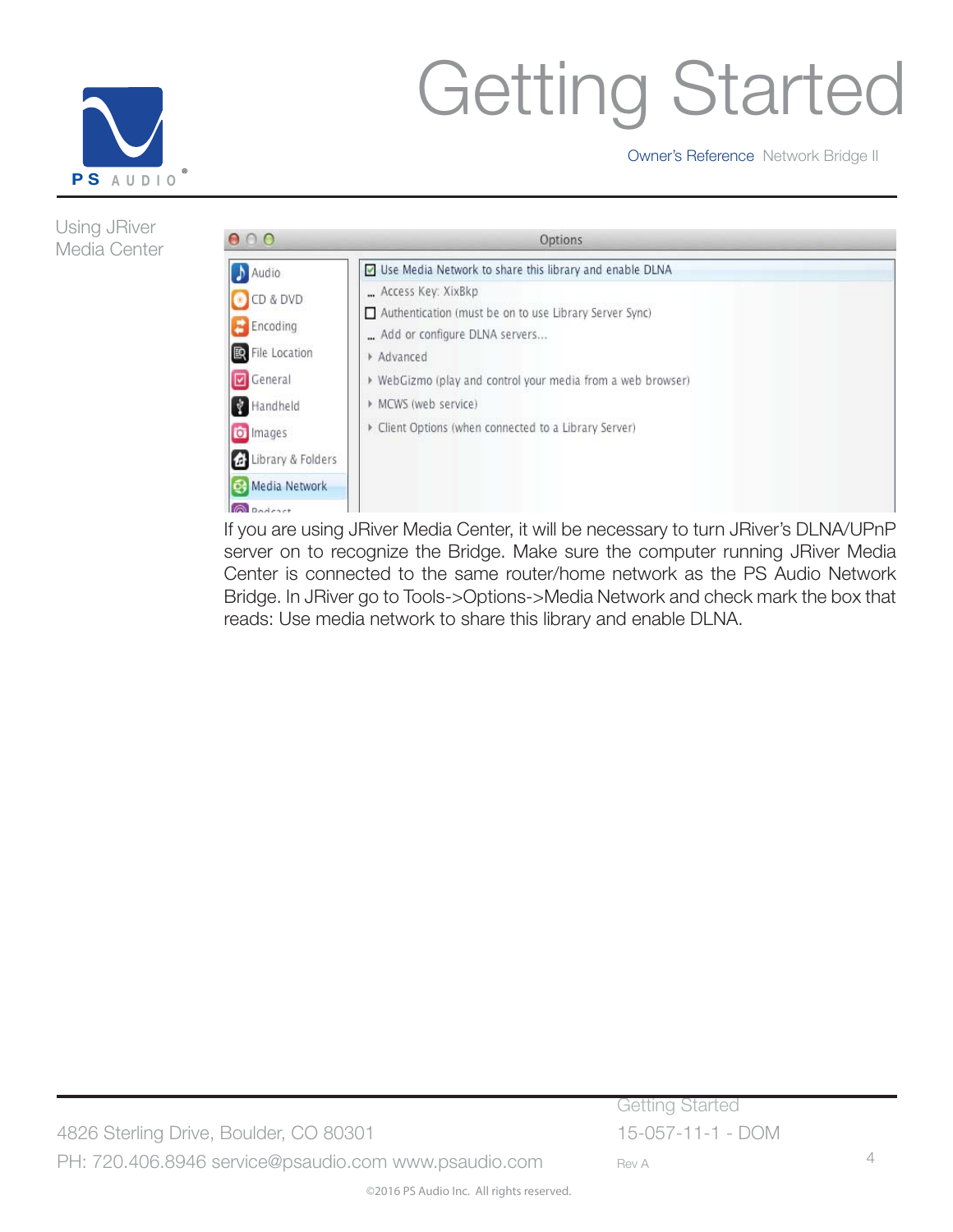

Using JRiver Media Center

# Getting Started

Owner's Reference Network Bridge II

 $000$ Options ◘ Use Media Network to share this library and enable DLNA Audio ... Access Key: XixBkp O CD & DVD Authentication (must be on to use Library Server Sync)  $E$  Encoding ... Add or configure DLNA servers... File Location Advanced General ▶ WebGizmo (play and control your media from a web browser) Handheld MCWS (web service) Client Options (when connected to a Library Server) o Images d' Library & Folders Media Network **Q** Podcast

If you are using JRiver Media Center, it will be necessary to turn JRiver's DLNA/UPnP server on to recognize the Bridge. Make sure the computer running JRiver Media Center is connected to the same router/home network as the PS Audio Network Bridge. In JRiver go to Tools->Options->Media Network and check mark the box that reads: Use media network to share this library and enable DLNA.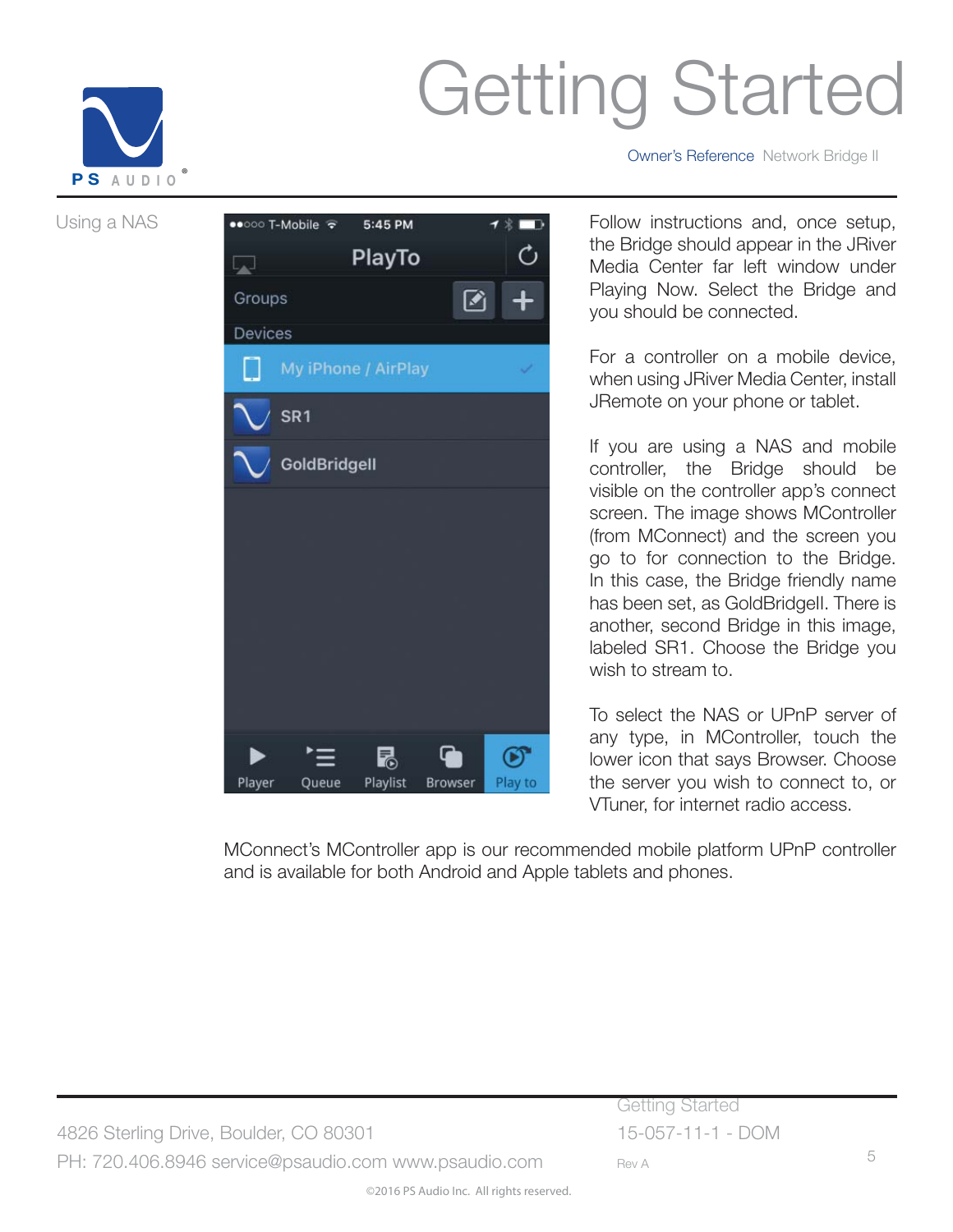

Using a NAS



Owner's Reference Network Bridge II

Follow instructions and, once setup, the Bridge should appear in the JRiver Media Center far left window under Playing Now. Select the Bridge and you should be connected.

For a controller on a mobile device, when using JRiver Media Center, install JRemote on your phone or tablet.

If you are using a NAS and mobile controller, the Bridge should be visible on the controller app's connect screen. The image shows MController (from MConnect) and the screen you go to for connection to the Bridge. In this case, the Bridge friendly name has been set, as GoldBridgeII. There is another, second Bridge in this image, labeled SR1. Choose the Bridge you wish to stream to.

To select the NAS or UPnP server of any type, in MController, touch the lower icon that says Browser. Choose the server you wish to connect to, or VTuner, for internet radio access.

MConnect's MController app is our recommended mobile platform UPnP controller and is available for both Android and Apple tablets and phones.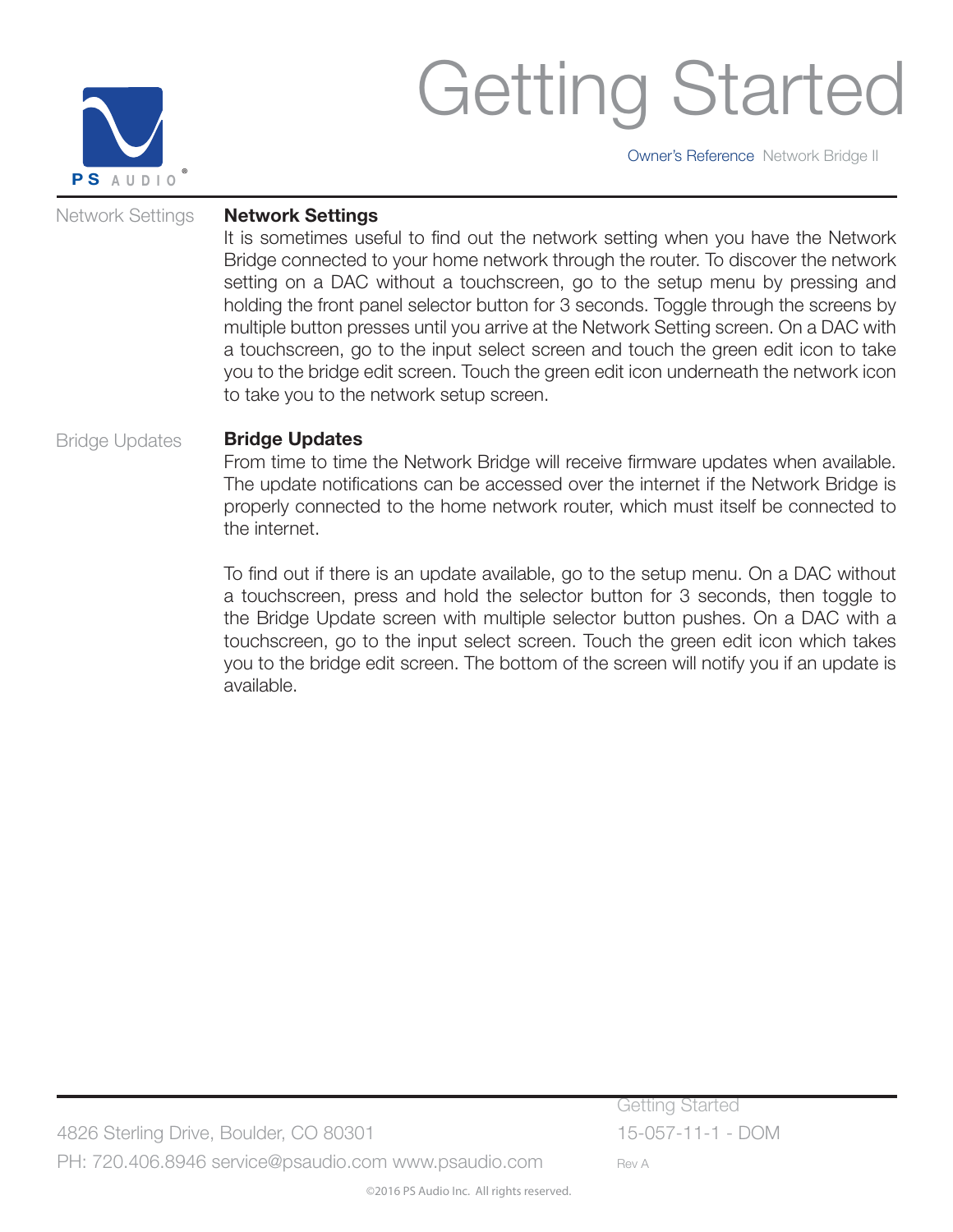

Owner's Reference Network Bridge II

#### Network Settings

#### **Network Settings**

It is sometimes useful to find out the network setting when you have the Network Bridge connected to your home network through the router. To discover the network setting on a DAC without a touchscreen, go to the setup menu by pressing and holding the front panel selector button for 3 seconds. Toggle through the screens by multiple button presses until you arrive at the Network Setting screen. On a DAC with a touchscreen, go to the input select screen and touch the green edit icon to take you to the bridge edit screen. Touch the green edit icon underneath the network icon to take you to the network setup screen.

#### **Bridge Updates** Bridge Updates

From time to time the Network Bridge will receive firmware updates when available. The update notifications can be accessed over the internet if the Network Bridge is properly connected to the home network router, which must itself be connected to the internet.

To find out if there is an update available, go to the setup menu. On a DAC without a touchscreen, press and hold the selector button for 3 seconds, then toggle to the Bridge Update screen with multiple selector button pushes. On a DAC with a touchscreen, go to the input select screen. Touch the green edit icon which takes you to the bridge edit screen. The bottom of the screen will notify you if an update is available.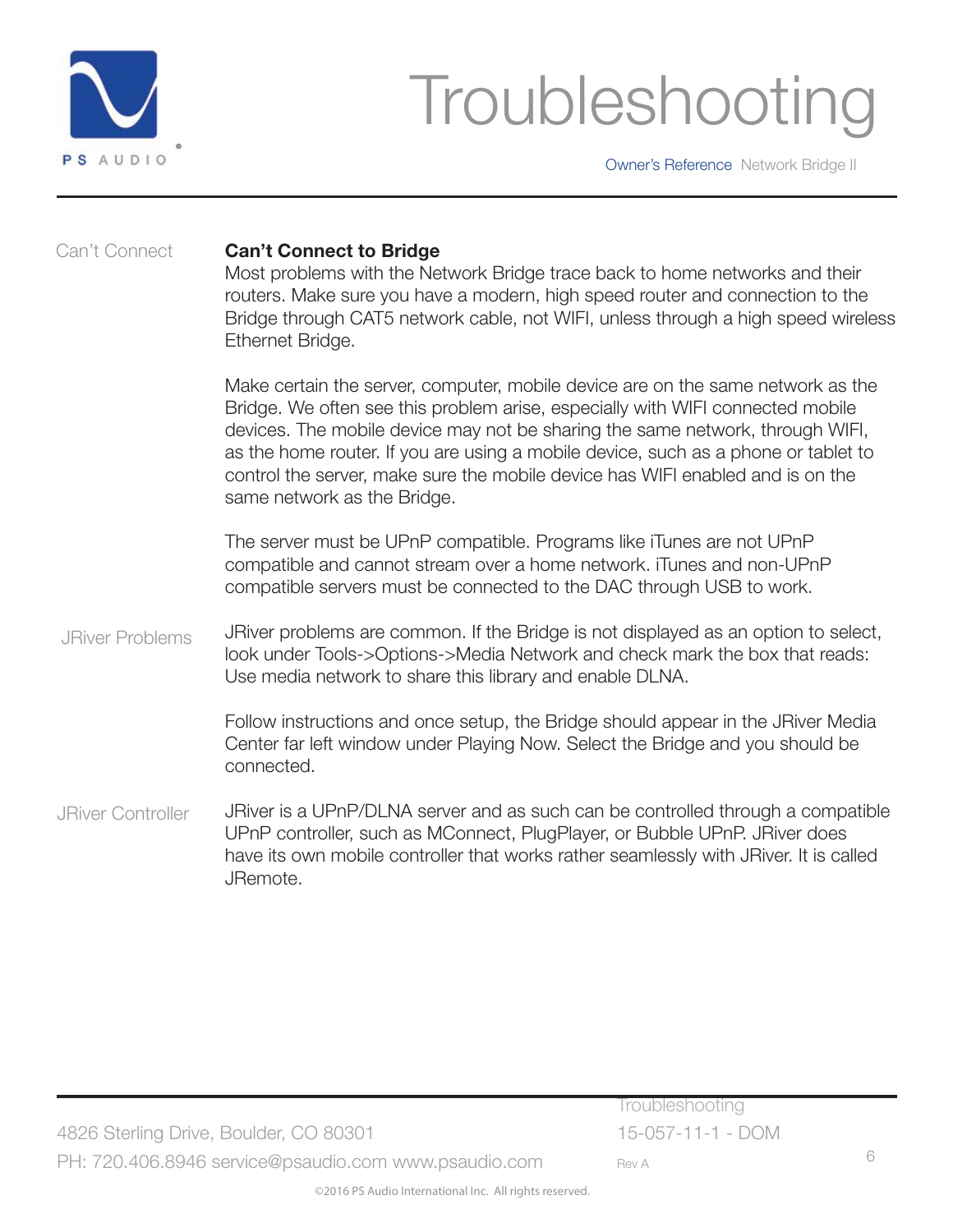

### Troubleshooting

Owner's Reference Network Bridge II

#### Can't Connect

#### **Can't Connect to Bridge**

Most problems with the Network Bridge trace back to home networks and their routers. Make sure you have a modern, high speed router and connection to the Bridge through CAT5 network cable, not WIFI, unless through a high speed wireless Ethernet Bridge.

Make certain the server, computer, mobile device are on the same network as the Bridge. We often see this problem arise, especially with WIFI connected mobile devices. The mobile device may not be sharing the same network, through WIFI, as the home router. If you are using a mobile device, such as a phone or tablet to control the server, make sure the mobile device has WIFI enabled and is on the same network as the Bridge.

The server must be UPnP compatible. Programs like iTunes are not UPnP compatible and cannot stream over a home network. iTunes and non-UPnP compatible servers must be connected to the DAC through USB to work.

JRiver problems are common. If the Bridge is not displayed as an option to select, look under Tools->Options->Media Network and check mark the box that reads: Use media network to share this library and enable DLNA. JRiver Problems

> Follow instructions and once setup, the Bridge should appear in the JRiver Media Center far left window under Playing Now. Select the Bridge and you should be connected.

JRiver is a UPnP/DLNA server and as such can be controlled through a compatible UPnP controller, such as MConnect, PlugPlayer, or Bubble UPnP. JRiver does have its own mobile controller that works rather seamlessly with JRiver. It is called JRemote. JRiver Controller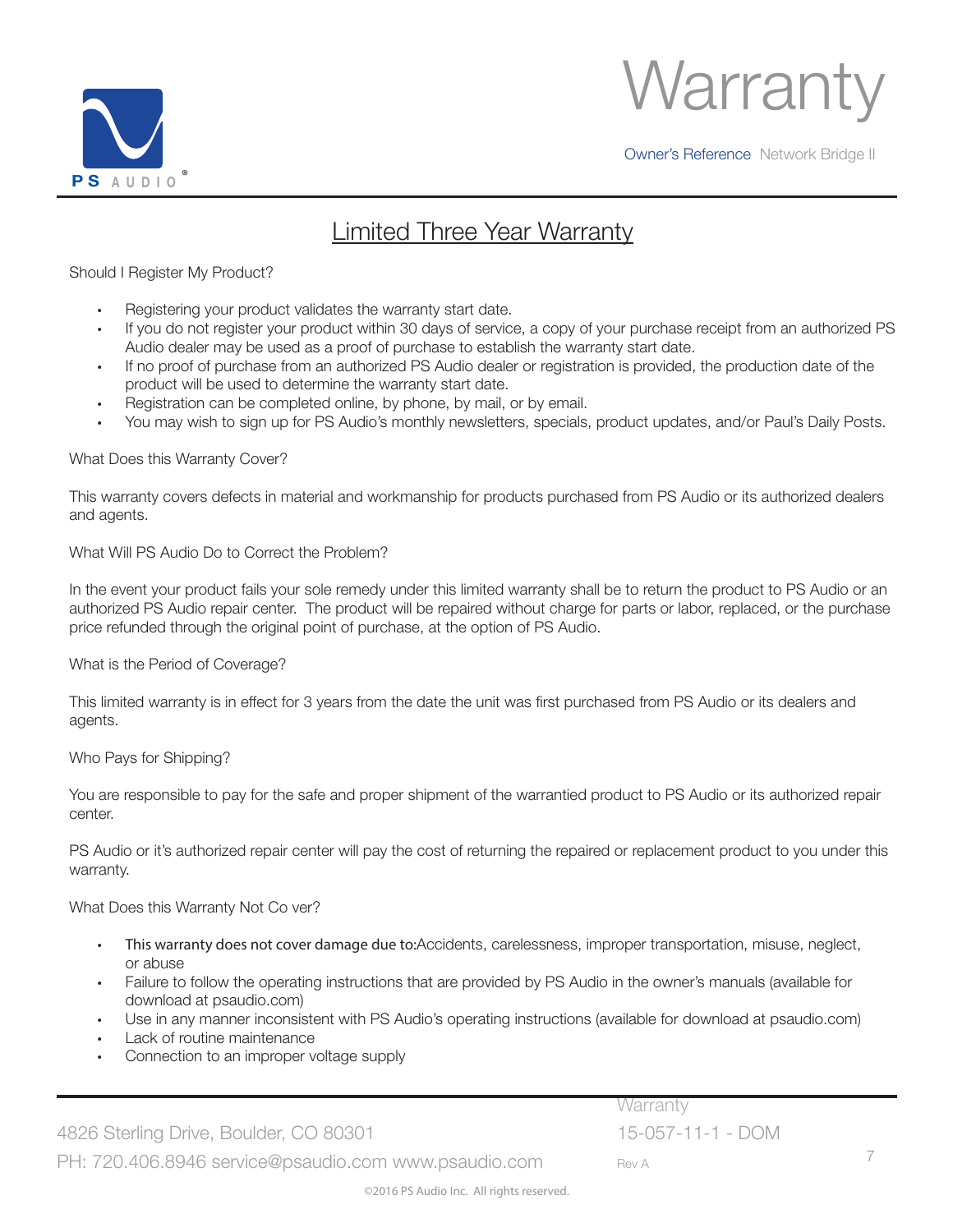



### Limited Three Year Warranty

#### Should I Register My Product?

- Registering your product validates the warranty start date.
- If you do not register your product within 30 days of service, a copy of your purchase receipt from an authorized PS Audio dealer may be used as a proof of purchase to establish the warranty start date.
- If no proof of purchase from an authorized PS Audio dealer or registration is provided, the production date of the product will be used to determine the warranty start date.
- Registration can be completed online, by phone, by mail, or by email.
- You may wish to sign up for PS Audio's monthly newsletters, specials, product updates, and/or Paul's Daily Posts.

#### What Does this Warranty Cover?

This warranty covers defects in material and workmanship for products purchased from PS Audio or its authorized dealers and agents.

#### What Will PS Audio Do to Correct the Problem?

In the event your product fails your sole remedy under this limited warranty shall be to return the product to PS Audio or an authorized PS Audio repair center. The product will be repaired without charge for parts or labor, replaced, or the purchase price refunded through the original point of purchase, at the option of PS Audio.

#### What is the Period of Coverage?

This limited warranty is in effect for 3 years from the date the unit was first purchased from PS Audio or its dealers and agents.

#### Who Pays for Shipping?

You are responsible to pay for the safe and proper shipment of the warrantied product to PS Audio or its authorized repair center.

PS Audio or it's authorized repair center will pay the cost of returning the repaired or replacement product to you under this warranty.

What Does this Warranty Not Co ver?

- This warranty does not cover damage due to:Accidents, carelessness, improper transportation, misuse, neglect, or abuse
- Failure to follow the operating instructions that are provided by PS Audio in the owner's manuals (available for download at psaudio.com)
- Use in any manner inconsistent with PS Audio's operating instructions (available for download at psaudio.com)
- Lack of routine maintenance
- Connection to an improper voltage supply

4826 Sterling Drive, Boulder, CO 80301 15-057-11-1 - DOM PH: 720.406.8946 service@psaudio.com www.psaudio.com Rev A

Warranty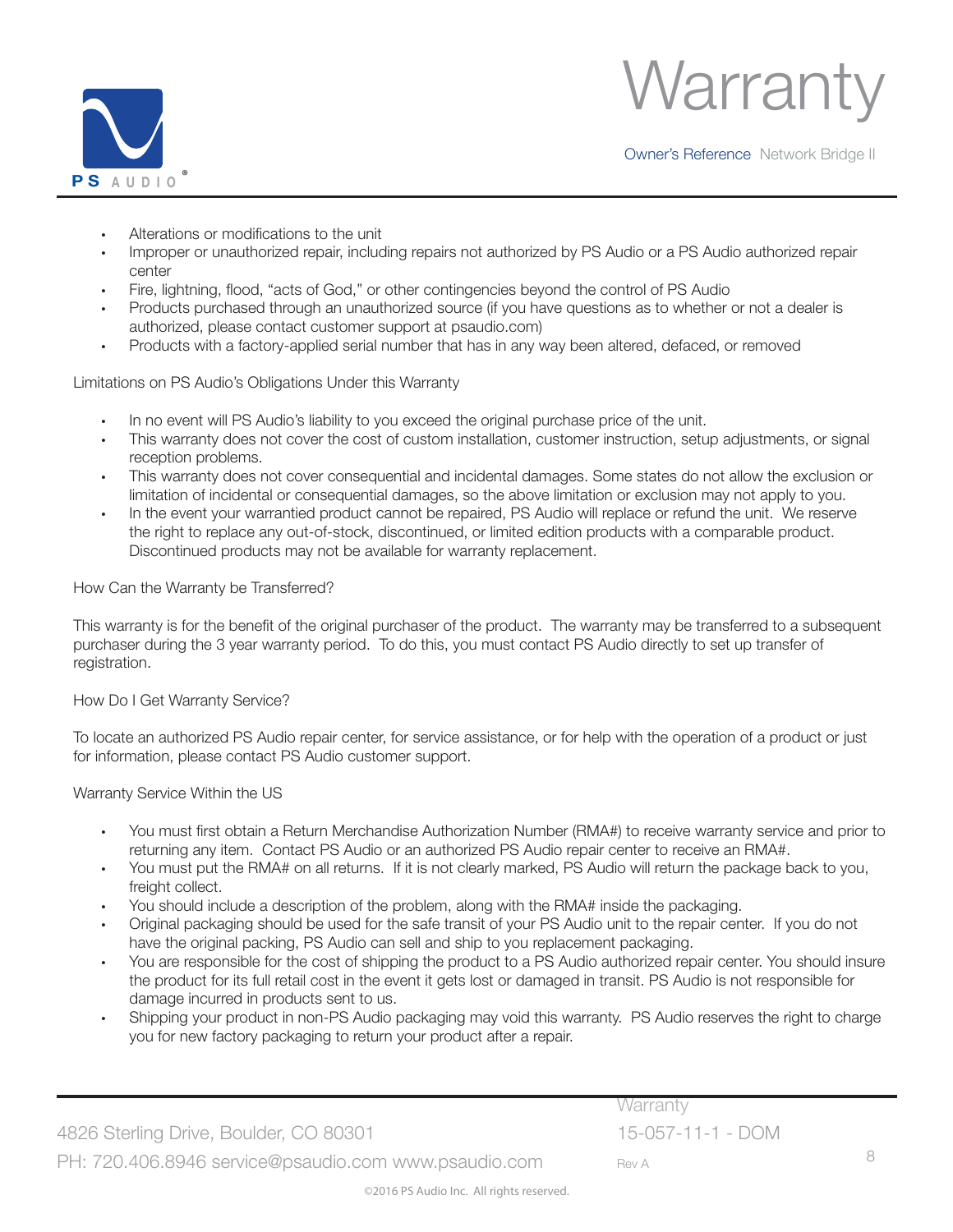



- Alterations or modifications to the unit
- Improper or unauthorized repair, including repairs not authorized by PS Audio or a PS Audio authorized repair center
- Fire, lightning, flood, "acts of God," or other contingencies beyond the control of PS Audio
- Products purchased through an unauthorized source (if you have questions as to whether or not a dealer is authorized, please contact customer support at psaudio.com)
- Products with a factory-applied serial number that has in any way been altered, defaced, or removed

Limitations on PS Audio's Obligations Under this Warranty

- In no event will PS Audio's liability to you exceed the original purchase price of the unit.
- This warranty does not cover the cost of custom installation, customer instruction, setup adjustments, or signal reception problems.
- This warranty does not cover consequential and incidental damages. Some states do not allow the exclusion or limitation of incidental or consequential damages, so the above limitation or exclusion may not apply to you.
- In the event your warrantied product cannot be repaired, PS Audio will replace or refund the unit. We reserve the right to replace any out-of-stock, discontinued, or limited edition products with a comparable product. Discontinued products may not be available for warranty replacement.

How Can the Warranty be Transferred?

This warranty is for the benefit of the original purchaser of the product. The warranty may be transferred to a subsequent purchaser during the 3 year warranty period. To do this, you must contact PS Audio directly to set up transfer of registration.

How Do I Get Warranty Service?

To locate an authorized PS Audio repair center, for service assistance, or for help with the operation of a product or just for information, please contact PS Audio customer support.

Warranty Service Within the US

- You must first obtain a Return Merchandise Authorization Number (RMA#) to receive warranty service and prior to returning any item. Contact PS Audio or an authorized PS Audio repair center to receive an RMA#.
- You must put the RMA# on all returns. If it is not clearly marked, PS Audio will return the package back to you, freight collect.
- You should include a description of the problem, along with the RMA# inside the packaging.
- Original packaging should be used for the safe transit of your PS Audio unit to the repair center. If you do not have the original packing, PS Audio can sell and ship to you replacement packaging.
- You are responsible for the cost of shipping the product to a PS Audio authorized repair center. You should insure the product for its full retail cost in the event it gets lost or damaged in transit. PS Audio is not responsible for damage incurred in products sent to us.
- Shipping your product in non-PS Audio packaging may void this warranty. PS Audio reserves the right to charge you for new factory packaging to return your product after a repair.